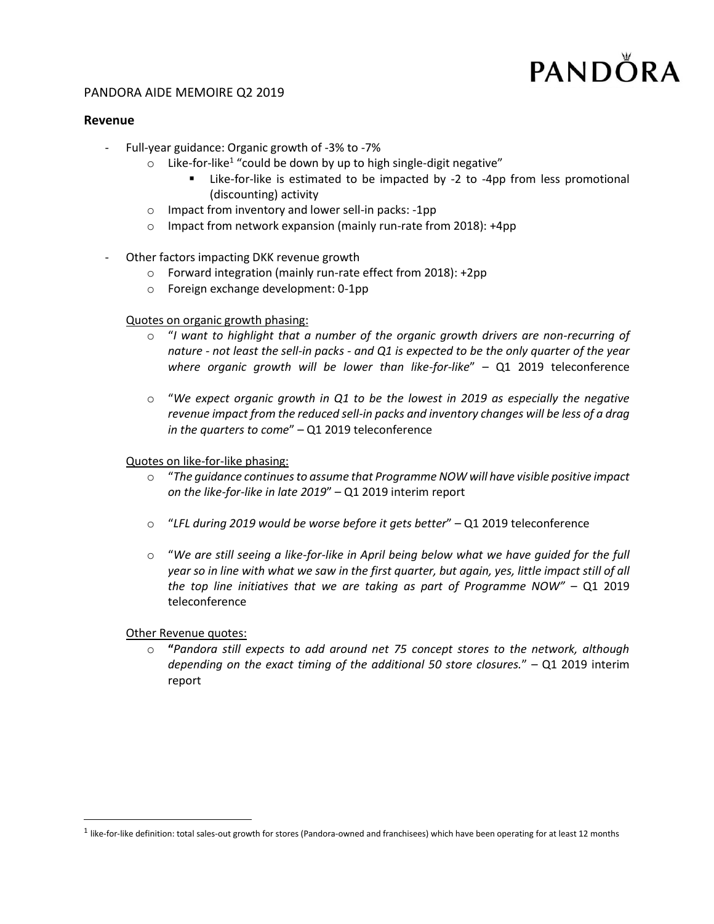# PANDÖRA

## PANDORA AIDE MEMOIRE Q2 2019

#### **Revenue**

- Full-year guidance: Organic growth of -3% to -7%
	- $\circ$  Like-for-like<sup>1</sup> "could be down by up to high single-digit negative"
		- **EXEL 15** Like-for-like is estimated to be impacted by -2 to -4pp from less promotional (discounting) activity
	- o Impact from inventory and lower sell-in packs: -1pp
	- o Impact from network expansion (mainly run-rate from 2018): +4pp
- Other factors impacting DKK revenue growth
	- o Forward integration (mainly run-rate effect from 2018): +2pp
	- o Foreign exchange development: 0-1pp

## Quotes on organic growth phasing:

- o "*I want to highlight that a number of the organic growth drivers are non-recurring of nature - not least the sell-in packs - and Q1 is expected to be the only quarter of the year where organic growth will be lower than like-for-like*" – Q1 2019 teleconference
- o "*We expect organic growth in Q1 to be the lowest in 2019 as especially the negative revenue impact from the reduced sell-in packs and inventory changes will be less of a drag in the quarters to come*" – Q1 2019 teleconference

Quotes on like-for-like phasing:

- o "*The guidance continues to assume that Programme NOW will have visible positive impact on the like-for-like in late 2019*" – Q1 2019 interim report
- o "*LFL during 2019 would be worse before it gets better*" Q1 2019 teleconference
- o "*We are still seeing a like-for-like in April being below what we have guided for the full year so in line with what we saw in the first quarter, but again, yes, little impact still of all the top line initiatives that we are taking as part of Programme NOW"* – Q1 2019 teleconference

Other Revenue quotes:

 $\overline{\phantom{a}}$ 

o **"***Pandora still expects to add around net 75 concept stores to the network, although depending on the exact timing of the additional 50 store closures.*" – Q1 2019 interim report

 $^1$  like-for-like definition: total sales-out growth for stores (Pandora-owned and franchisees) which have been operating for at least 12 months